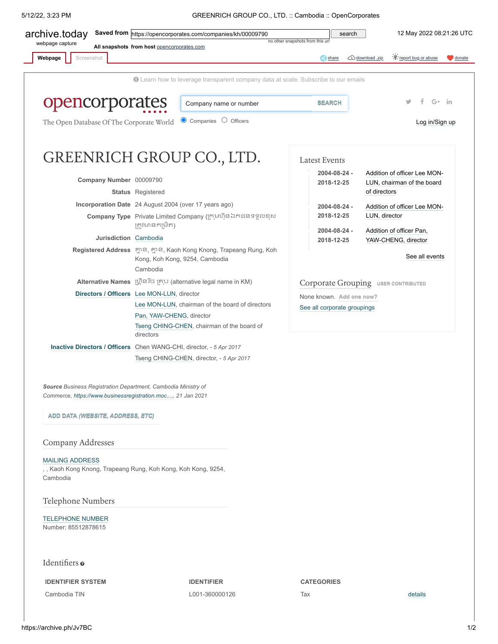5/12/22, 3:23 PM GREENRICH GROUP CO., LTD. :: Cambodia :: OpenCorporates

| archive.today<br>webpage capture                                                                                             | Saved from https://opencorporates.com/companies/kh/00009790<br>All snapshots from host opencorporates.com            | no other snapshots from this url | search                              |                                                                   | 12 May 2022 08:21:26 UTC                                   |                   |
|------------------------------------------------------------------------------------------------------------------------------|----------------------------------------------------------------------------------------------------------------------|----------------------------------|-------------------------------------|-------------------------------------------------------------------|------------------------------------------------------------|-------------------|
| Webpage<br>Screenshot                                                                                                        |                                                                                                                      |                                  | share                               | download .zip                                                     | report bug or abuse                                        | $\bigcirc$ donate |
|                                                                                                                              | <b>O</b> Learn how to leverage transparent company data at scale. Subscribe to our emails                            |                                  |                                     |                                                                   |                                                            |                   |
| opencorporates                                                                                                               | Company name or number                                                                                               |                                  | <b>SEARCH</b>                       |                                                                   | $G+$ in                                                    |                   |
| The Open Database Of The Corporate World                                                                                     | Companies O Officers                                                                                                 |                                  |                                     |                                                                   | Log in/Sign up                                             |                   |
|                                                                                                                              | GREENRICH GROUP CO., LTD.                                                                                            |                                  | <b>Latest Events</b>                |                                                                   |                                                            |                   |
| Company Number 00009790                                                                                                      |                                                                                                                      |                                  | 2004-08-24 -<br>2018-12-25          |                                                                   | Addition of officer Lee MON-<br>LUN, chairman of the board |                   |
|                                                                                                                              | <b>Status</b> Registered                                                                                             |                                  |                                     | of directors                                                      |                                                            |                   |
|                                                                                                                              | Incorporation Date 24 August 2004 (over 17 years ago)                                                                |                                  | 2004-08-24 -                        | Addition of officer Lee MON-                                      |                                                            |                   |
|                                                                                                                              | Company Type Private Limited Company (ក្រុមហ៊ុនឯកជនទទួលខុស<br>ត្រូវមានកម្រិត)                                        |                                  | 2018-12-25                          | LUN, director                                                     |                                                            |                   |
| Jurisdiction Cambodia                                                                                                        |                                                                                                                      |                                  | 2004-08-24 -<br>2018-12-25          | Addition of officer Pan,<br>YAW-CHENG, director<br>See all events |                                                            |                   |
|                                                                                                                              | Registered Address អ៊្ថាន, អ៊្ថាន, Kaoh Kong Knong, Trapeang Rung, Koh<br>Kong, Koh Kong, 9254, Cambodia<br>Cambodia |                                  |                                     |                                                                   |                                                            |                   |
|                                                                                                                              | Alternative Names ប្រ៊ាន រ៊ច គ្រុប (alternative legal name in KM)                                                    |                                  | Corporate Grouping USER CONTRIBUTED |                                                                   |                                                            |                   |
|                                                                                                                              | Directors / Officers Lee MON-LUN, director                                                                           |                                  | None known. Add one now?            |                                                                   |                                                            |                   |
|                                                                                                                              | Lee MON-LUN, chairman of the board of directors                                                                      |                                  | See all corporate groupings         |                                                                   |                                                            |                   |
|                                                                                                                              | Pan, YAW-CHENG, director<br>Tseng CHING-CHEN, chairman of the board of<br>directors                                  |                                  |                                     |                                                                   |                                                            |                   |
|                                                                                                                              | Inactive Directors / Officers Chen WANG-CHI, director, - 5 Apr 2017                                                  |                                  |                                     |                                                                   |                                                            |                   |
|                                                                                                                              | Tseng CHING-CHEN, director, - 5 Apr 2017                                                                             |                                  |                                     |                                                                   |                                                            |                   |
| Source Business Registration Department, Cambodia Ministry of<br>Commerce, https://www.businessregistration.moc, 21 Jan 2021 |                                                                                                                      |                                  |                                     |                                                                   |                                                            |                   |
|                                                                                                                              |                                                                                                                      |                                  |                                     |                                                                   |                                                            |                   |
| ADD DATA (WEBSITE, ADDRESS, ETC)                                                                                             |                                                                                                                      |                                  |                                     |                                                                   |                                                            |                   |

<span id="page-0-0"></span>Company Addresses

[MAILING ADDRESS](https://archive.ph/o/Jv7BC/https://opencorporates.com/data/54258549)

, , Kaoh Kong Knong, Trapeang Rung, Koh Kong, Koh Kong, 9254, Cambodia

Telephone Numbers

[TELEPHONE NUMBER](https://archive.ph/o/Jv7BC/https://opencorporates.com/data/54258550) Number: 85512878615

## Identifiers o

**IDENTIFIER SYSTEM IDENTIFIER CATEGORIES**

Cambodia TIN L001-360000126 Tax [details](https://archive.ph/o/Jv7BC/https://opencorporates.com/statements/529867437)